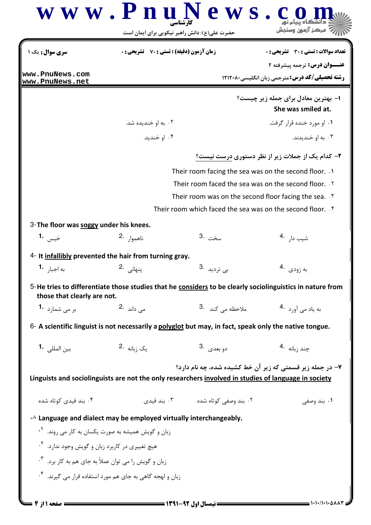|                                                                       | حضرت علی(ع): دانش راهبر نیکویی برای ایمان است                                                          |                                               | مركز آزمون وسنجش                                                                                          |  |  |
|-----------------------------------------------------------------------|--------------------------------------------------------------------------------------------------------|-----------------------------------------------|-----------------------------------------------------------------------------------------------------------|--|--|
| <b>سری سوال :</b> یک ۱                                                | زمان آزمون (دقیقه) : تستی : 70 ٪ تشریحی : 0                                                            |                                               | <b>تعداد سوالات : تستی : 30 ٪ تشریحی : 0</b>                                                              |  |  |
| www.PnuNews.com                                                       |                                                                                                        |                                               | <b>عنــوان درس:</b> ترجمه پیشرفته ۲<br><b>رشته تحصیلی/کد درس: مترجمی زبان انگلیسی ۱۲۱۲۰۸۰</b>             |  |  |
| www.PnuNews.net                                                       |                                                                                                        |                                               | ۱– بهترین معادل برای جمله زیر چیست؟                                                                       |  |  |
|                                                                       |                                                                                                        |                                               | She was smiled at.                                                                                        |  |  |
|                                                                       | ۰۲ به او خندیده شد.                                                                                    |                                               | ۰۱ او مورد خنده قرار گرفت.                                                                                |  |  |
|                                                                       | ۰۴ او خندید.                                                                                           |                                               | ۰۳ به او خندیدند.                                                                                         |  |  |
|                                                                       |                                                                                                        |                                               | ۲- کدام یک از جملات زیر از نظر دستوری درست نیست؟                                                          |  |  |
|                                                                       | Their room facing the sea was on the second floor. . \                                                 |                                               |                                                                                                           |  |  |
|                                                                       | Their room faced the sea was on the second floor. T                                                    |                                               |                                                                                                           |  |  |
|                                                                       | Their room was on the second floor facing the sea. $\cdot$                                             |                                               |                                                                                                           |  |  |
|                                                                       |                                                                                                        |                                               | Their room which faced the sea was on the second floor. . f                                               |  |  |
| 3-The floor was soggy under his knees.                                |                                                                                                        |                                               |                                                                                                           |  |  |
| خيس <b>1.</b>                                                         | ناهموار .2                                                                                             | سخت .3                                        | شيب دا <sub>ر</sub> .4                                                                                    |  |  |
|                                                                       | 4- It infallibly prevented the hair from turning gray.                                                 |                                               |                                                                                                           |  |  |
| به اجبا <sub>ر</sub> <b>-1</b>                                        | پنهانی 2.                                                                                              | ب <sub>ى</sub> ترديد .3                       | به زودي .4                                                                                                |  |  |
| those that clearly are not.                                           |                                                                                                        |                                               | 5-He tries to differentiate those studies that he considers to be clearly sociolinguistics in nature from |  |  |
| بر می شمارد <b>1</b> ۰                                                | می داند <sup>.2</sup>                                                                                  | ملاحظه می کند <sup>.3</sup>                   | به یاد می آورد 4.                                                                                         |  |  |
|                                                                       | 6- A scientific linguist is not necessarily a polyglot but may, in fact, speak only the native tongue. |                                               |                                                                                                           |  |  |
|                                                                       | یک <sub>زبانه</sub> .2                                                                                 | دو بعدي .3                                    | چند <sub>ز</sub> بانه <sup>4</sup> ۰                                                                      |  |  |
|                                                                       |                                                                                                        |                                               | ۷- در جمله زیر قسمتی که زیر آن خط کشیده شده، چه نام دارد؟                                                 |  |  |
|                                                                       | Linguists and sociolinguists are not the only researchers involved in studies of language in society   |                                               |                                                                                                           |  |  |
| ۰۴ بند قیدی کوتاه شده                                                 |                                                                                                        | ۰۲ بند وصف <i>ی</i> کوتاه شده سه ۲۰۰ بند قیدی | ۰۱ بند وصفي                                                                                               |  |  |
|                                                                       | $-\lambda$ Language and dialect may be employed virtually interchangeably.                             |                                               |                                                                                                           |  |  |
| زبان و گویش همیشه به صورت یکسان به کار می روند. <sup>۱</sup> ۰        |                                                                                                        |                                               |                                                                                                           |  |  |
| هیچ تغییری در کاربرد زبان و گویش وجود ندارد. <sup>۲</sup> ۰           |                                                                                                        |                                               |                                                                                                           |  |  |
| زبان و گویش را می توان عملاً به جای هم به کار برد. <sup>۳</sup> ۰     |                                                                                                        |                                               |                                                                                                           |  |  |
| زبان و لهجه گاهی به جای هم مورد استفاده قرار می گیرند. <sup>۴</sup> ۰ |                                                                                                        |                                               |                                                                                                           |  |  |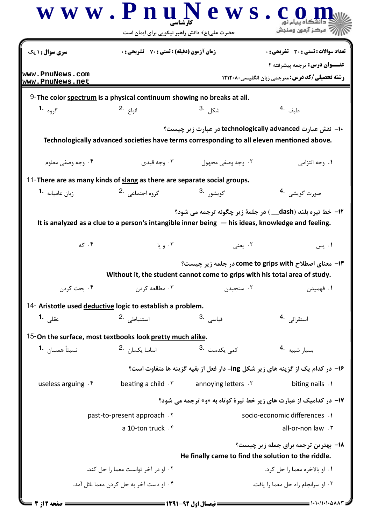|                                                                                                     | حضرت علی(ع): دانش راهبر نیکویی برای ایمان است      |                                                                                            | ر آمرڪز آزمون وسنڊش                                                           |
|-----------------------------------------------------------------------------------------------------|----------------------------------------------------|--------------------------------------------------------------------------------------------|-------------------------------------------------------------------------------|
| سری سوال: ۱ یک                                                                                      | <b>زمان آزمون (دقیقه) : تستی : 70 ٪ تشریحی : 0</b> |                                                                                            | <b>تعداد سوالات : تستي : 30 ٪ تشريحي : 0</b>                                  |
| www.PnuNews.com                                                                                     |                                                    |                                                                                            | عنــوان درس: ترجمه پیشرفته ۲                                                  |
| www.PnuNews.net                                                                                     |                                                    |                                                                                            | <b>رشته تحصیلی/کد درس:</b> مترجمی زبان انگلیسی1۲۱۲۰۸۰                         |
| 9-The color spectrum is a physical continuum showing no breaks at all.                              |                                                    |                                                                                            |                                                                               |
| گروه <b>1.</b>                                                                                      | انواع <sup>.2</sup>                                | شكل <sup>3.</sup>                                                                          | طيف .4                                                                        |
|                                                                                                     |                                                    | Technologically advanced societies have terms corresponding to all eleven mentioned above. | +ا–  نقش عبارت technologically advanced در عبارت زیر چیست؟                    |
| ۰۴ وجه وصفی معلوم                                                                                   | ۰۳ وجه قیدی                                        | ۰۲ وجه وصفي مجهول                                                                          | ۰۱ وجه التزامي                                                                |
| 11-There are as many kinds of slang as there are separate social groups.                            |                                                    |                                                                                            |                                                                               |
| زبان عامیانه <b>1</b> ۰                                                                             | گروہ اجتماعی <sup>2</sup> ۰                        | گويشور <sup>.3</sup>                                                                       | صورت گويشي۔ 4                                                                 |
|                                                                                                     |                                                    |                                                                                            | <b>۱۲- خط تیره بلند (dash__) در جلمهٔ زیر چگونه ترجمه می شود؟</b>             |
| It is analyzed as a clue to a person's intangible inner being $-$ his ideas, knowledge and feeling. |                                                    |                                                                                            |                                                                               |
| ۰۴ که                                                                                               | ۰۳ و یا                                            | ۰۲ یعنی                                                                                    | ۰۱ پس                                                                         |
|                                                                                                     |                                                    |                                                                                            | ۱۳- معنای اصطلاح come to grips with در جلمه زیر چیست؟                         |
|                                                                                                     |                                                    | Without it, the student cannot come to grips with his total area of study.                 |                                                                               |
| ۰۴ بحث کردن                                                                                         | ۰۳ مطالعه کړدن                                     | ۰۲ سنجیدن                                                                                  | ۰۱ فهمیدن                                                                     |
| 14- Aristotle used deductive logic to establish a problem.                                          |                                                    |                                                                                            |                                                                               |
| عقل <sub>ی</sub> <b>1.</b>                                                                          | استنباطى .2                                        | قياس <i>ي</i> 3.                                                                           | استقرائ <sub>ی</sub> .4                                                       |
| 15-On the surface, most textbooks look pretty much alike.                                           |                                                    |                                                                                            |                                                                               |
| نسبتاً همسان <b>1</b> ۰                                                                             | اساسا یکسا <sub>ن</sub> 2.                         | 3. كمى يكدست <b>3</b>                                                                      | بسيار شبيه 4.                                                                 |
|                                                                                                     |                                                    |                                                                                            | ۱۶– در کدام یک از گزینه های زیر شکل ing- دار فعل از بقیه گزینه ها متفاوت است؟ |
| useless arguing . f                                                                                 | beating a child . \vesting a child . \vesting a    | annoying letters .Y                                                                        | biting nails .                                                                |
|                                                                                                     |                                                    |                                                                                            | ۱۷- در کدامیک از عبارت های زیر خط تیرهٔ کوتاه به «و» ترجمه می شود؟            |
| past-to-present approach.                                                                           |                                                    | socio-economic differences .1                                                              |                                                                               |
|                                                                                                     | a 10-ton truck f                                   |                                                                                            | all-or-non law . ٣                                                            |
|                                                                                                     |                                                    | He finally came to find the solution to the riddle.                                        | ۱۸– بهترین ترجمه برای جمله زیر چیست؟                                          |
|                                                                                                     | ٢. او در آخر توانست معما را حل كند.                |                                                                                            | ۰۱ او بالاخره معما را حل کرد.                                                 |
|                                                                                                     | ۰۴ او دست آخر به حل کردن معما نائل آمد.            |                                                                                            | ۰۳ او سرانجام راه حل معما را یافت.                                            |
|                                                                                                     |                                                    |                                                                                            |                                                                               |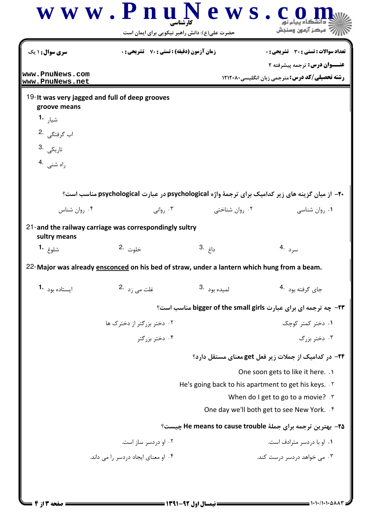